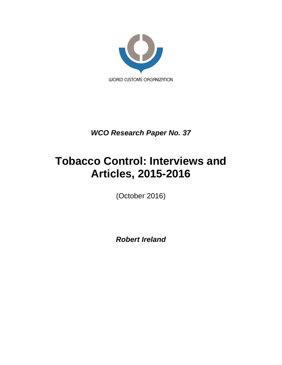

*WCO Research Paper No. 37*

# **Tobacco Control: Interviews and Articles, 2015-2016**

(October 2016)

*Robert Ireland*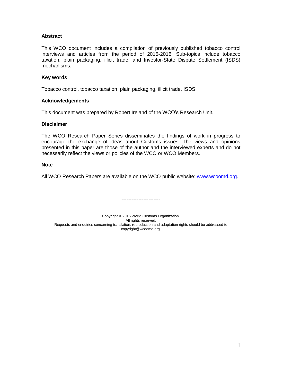## **Abstract**

This WCO document includes a compilation of previously published tobacco control interviews and articles from the period of 2015-2016. Sub-topics include tobacco taxation, plain packaging, illicit trade, and Investor-State Dispute Settlement (ISDS) mechanisms.

#### **Key words**

Tobacco control, tobacco taxation, plain packaging, illicit trade, ISDS

#### **Acknowledgements**

This document was prepared by Robert Ireland of the WCO's Research Unit.

### **Disclaimer**

The WCO Research Paper Series disseminates the findings of work in progress to encourage the exchange of ideas about Customs issues. The views and opinions presented in this paper are those of the author and the interviewed experts and do not necessarily reflect the views or policies of the WCO or WCO Members.

### **Note**

All WCO Research Papers are available on the WCO public website: [www.wcoomd.org.](http://www.wcoomd.org/)

-----------------------

Copyright © 2016 World Customs Organization. All rights reserved. Requests and enquiries concerning translation, reproduction and adaptation rights should be addressed to copyright@wcoomd.org.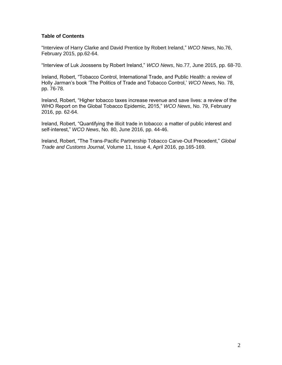## **Table of Contents**

"Interview of Harry Clarke and David Prentice by Robert Ireland," *WCO News*, No.76, February 2015, pp.62-64.

"Interview of Luk Joossens by Robert Ireland," *WCO News*, No.77, June 2015, pp. 68-70.

Ireland, Robert, "Tobacco Control, International Trade, and Public Health: a review of Holly Jarman's book 'The Politics of Trade and Tobacco Control,' *WCO News*, No. 78, pp. 76-78.

Ireland, Robert, "Higher tobacco taxes increase revenue and save lives: a review of the WHO Report on the Global Tobacco Epidemic, 2015," *WCO News*, No. 79, February 2016, pp. 62-64.

Ireland, Robert, "Quantifying the illicit trade in tobacco: a matter of public interest and self-interest," *WCO News*, No. 80, June 2016, pp. 44-46.

Ireland, Robert, "The Trans-Pacific Partnership Tobacco Carve-Out Precedent," *Global Trade and Customs Journal*, Volume 11, Issue 4, April 2016, pp.165-169.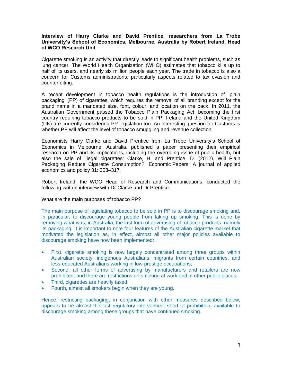## **Interview of Harry Clarke and David Prentice, researchers from La Trobe University's School of Economics, Melbourne, Australia by Robert Ireland, Head of WCO Research Unit**

Cigarette smoking is an activity that directly leads to significant health problems, such as lung cancer. The World Health Organization (WHO) estimates that tobacco kills up to half of its users, and nearly six million people each year. The trade in tobacco is also a concern for Customs administrations, particularly aspects related to tax evasion and counterfeiting.

A recent development in tobacco health regulations is the introduction of 'plain packaging' (PP) of cigarettes, which requires the removal of all branding except for the brand name in a mandated size, font, colour, and location on the pack. In 2011, the Australian Government passed the Tobacco Plain Packaging Act, becoming the first country requiring tobacco products to be sold in PP. Ireland and the United Kingdom (UK) are currently considering PP legislation too. An interesting question for Customs is whether PP will affect the level of tobacco smuggling and revenue collection.

Economists Harry Clarke and David Prentice from La Trobe University's School of Economics in Melbourne, Australia, published a paper presenting their empirical research on PP and its implications, including the overriding issue of public health, but also the sale of illegal cigarettes: Clarke, H. and Prentice, D. (2012), Will Plain Packaging Reduce Cigarette Consumption?, Economic Papers: A journal of applied economics and policy 31: 303–317.

Robert Ireland, the WCO Head of Research and Communications, conducted the following written interview with Dr Clarke and Dr Prentice.

What are the main purposes of tobacco PP?

The main purpose of legislating tobacco to be sold in PP is to discourage smoking and, in particular, to discourage young people from taking up smoking. This is done by removing what was, in Australia, the last form of advertising of tobacco products, namely its packaging. It is important to note four features of the Australian cigarette market that motivated the legislation as, in effect, almost all other major policies available to discourage smoking have now been implemented:

- First, cigarette smoking is now largely concentrated among three groups within Australian society: indigenous Australians; migrants from certain countries, and less-educated Australians working in low-prestige occupations;
- Second, all other forms of advertising by manufacturers and retailers are now prohibited, and there are restrictions on smoking at work and in other public places;
- Third, cigarettes are heavily taxed:
- Fourth, almost all smokers begin when they are young.

Hence, restricting packaging, in conjunction with other measures described below, appears to be almost the last regulatory intervention, short of prohibition, available to discourage smoking among these groups that have continued smoking.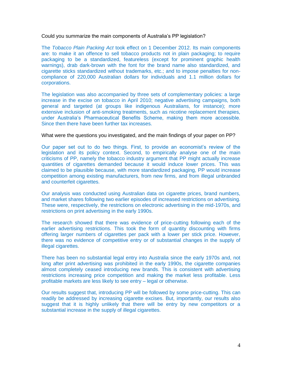Could you summarize the main components of Australia's PP legislation?

The *Tobacco Plain Packing Act* took effect on 1 December 2012. Its main components are: to make it an offence to sell tobacco products not in plain packaging; to require packaging to be a standardized, featureless (except for prominent graphic health warnings), drab dark-brown with the font for the brand name also standardized, and cigarette sticks standardized without trademarks, etc.; and to impose penalties for noncompliance of 220,000 Australian dollars for individuals and 1.1 million dollars for corporations.

The legislation was also accompanied by three sets of complementary policies: a large increase in the excise on tobacco in April 2010; negative advertising campaigns, both general and targeted (at groups like indigenous Australians, for instance); more extensive inclusion of anti-smoking treatments, such as nicotine replacement therapies, under Australia's Pharmaceutical Benefits Scheme, making them more accessible. Since then there have been further tax increases.

#### What were the questions you investigated, and the main findings of your paper on PP?

Our paper set out to do two things. First, to provide an economist's review of the legislation and its policy context. Second, to empirically analyse one of the main criticisms of PP, namely the tobacco industry argument that PP might actually increase quantities of cigarettes demanded because it would induce lower prices. This was claimed to be plausible because, with more standardized packaging, PP would increase competition among existing manufacturers, from new firms, and from illegal unbranded and counterfeit cigarettes.

Our analysis was conducted using Australian data on cigarette prices, brand numbers, and market shares following two earlier episodes of increased restrictions on advertising. These were, respectively, the restrictions on electronic advertising in the mid-1970s, and restrictions on print advertising in the early 1990s.

The research showed that there was evidence of price-cutting following each of the earlier advertising restrictions. This took the form of quantity discounting with firms offering larger numbers of cigarettes per pack with a lower per stick price. However, there was no evidence of competitive entry or of substantial changes in the supply of illegal cigarettes.

There has been no substantial legal entry into Australia since the early 1970s and, not long after print advertising was prohibited in the early 1990s, the cigarette companies almost completely ceased introducing new brands. This is consistent with advertising restrictions increasing price competition and making the market less profitable. Less profitable markets are less likely to see entry – legal or otherwise.

Our results suggest that, introducing PP will be followed by some price-cutting. This can readily be addressed by increasing cigarette excises. But, importantly, our results also suggest that it is highly unlikely that there will be entry by new competitors or a substantial increase in the supply of illegal cigarettes.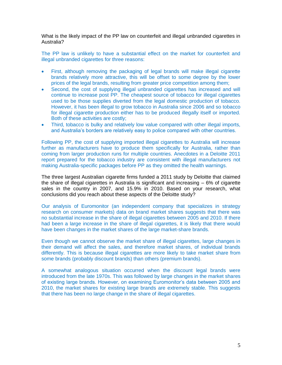What is the likely impact of the PP law on counterfeit and illegal unbranded cigarettes in Australia?

The PP law is unlikely to have a substantial effect on the market for counterfeit and illegal unbranded cigarettes for three reasons:

- First, although removing the packaging of legal brands will make illegal cigarette brands relatively more attractive, this will be offset to some degree by the lower prices of the legal brands, resulting from greater price competition among them;
- Second, the cost of supplying illegal unbranded cigarettes has increased and will continue to increase post PP. The cheapest source of tobacco for illegal cigarettes used to be those supplies diverted from the legal domestic production of tobacco. However, it has been illegal to grow tobacco in Australia since 2006 and so tobacco for illegal cigarette production either has to be produced illegally itself or imported. Both of these activities are costly;
- Third, tobacco is bulky and relatively low value compared with other illegal imports, and Australia's borders are relatively easy to police compared with other countries.

Following PP, the cost of supplying imported illegal cigarettes to Australia will increase further as manufacturers have to produce them specifically for Australia, rather than coming from larger production runs for multiple countries. Anecdotes in a Deloitte 2011 report prepared for the tobacco industry are consistent with illegal manufacturers not making Australia-specific packages before PP as they omitted the health warnings.

The three largest Australian cigarette firms funded a 2011 study by Deloitte that claimed the share of illegal cigarettes in Australia is significant and increasing – 6% of cigarette sales in the country in 2007, and 15.9% in 2010. Based on your research, what conclusions did you reach about these aspects of the Deloitte study?

Our analysis of Euromonitor (an independent company that specializes in strategy research on consumer markets) data on brand market shares suggests that there was no substantial increase in the share of illegal cigarettes between 2005 and 2010. If there had been a large increase in the share of illegal cigarettes, it is likely that there would have been changes in the market shares of the large market-share brands.

Even though we cannot observe the market share of illegal cigarettes, large changes in their demand will affect the sales, and therefore market shares, of individual brands differently. This is because illegal cigarettes are more likely to take market share from some brands (probably discount brands) than others (premium brands).

A somewhat analogous situation occurred when the discount legal brands were introduced from the late 1970s. This was followed by large changes in the market shares of existing large brands. However, on examining Euromonitor's data between 2005 and 2010, the market shares for existing large brands are extremely stable. This suggests that there has been no large change in the share of illegal cigarettes.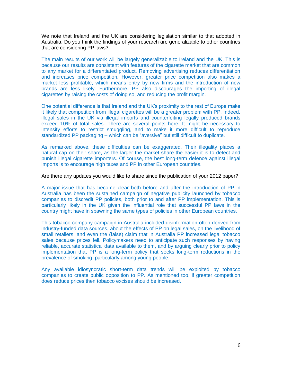We note that Ireland and the UK are considering legislation similar to that adopted in Australia. Do you think the findings of your research are generalizable to other countries that are considering PP laws?

The main results of our work will be largely generalizable to Ireland and the UK. This is because our results are consistent with features of the cigarette market that are common to any market for a differentiated product. Removing advertising reduces differentiation and increases price competition. However, greater price competition also makes a market less profitable, which means entry by new firms and the introduction of new brands are less likely. Furthermore, PP also discourages the importing of illegal cigarettes by raising the costs of doing so, and reducing the profit margin.

One potential difference is that Ireland and the UK's proximity to the rest of Europe make it likely that competition from illegal cigarettes will be a greater problem with PP. Indeed, illegal sales in the UK via illegal imports and counterfeiting legally produced brands exceed 10% of total sales. There are several points here. It might be necessary to intensify efforts to restrict smuggling, and to make it more difficult to reproduce standardized PP packaging – which can be "aversive" but still difficult to duplicate.

As remarked above, these difficulties can be exaggerated. Their illegality places a natural cap on their share, as the larger the market share the easier it is to detect and punish illegal cigarette importers. Of course, the best long-term defence against illegal imports is to encourage high taxes and PP in other European countries.

#### Are there any updates you would like to share since the publication of your 2012 paper?

A major issue that has become clear both before and after the introduction of PP in Australia has been the sustained campaign of negative publicity launched by tobacco companies to discredit PP policies, both prior to and after PP implementation. This is particularly likely in the UK given the influential role that successful PP laws in the country might have in spawning the same types of policies in other European countries.

This tobacco company campaign in Australia included disinformation often derived from industry-funded data sources, about the effects of PP on legal sales, on the livelihood of small retailers, and even the (false) claim that in Australia PP increased legal tobacco sales because prices fell. Policymakers need to anticipate such responses by having reliable, accurate statistical data available to them, and by arguing clearly prior to policy implementation that PP is a long-term policy that seeks long-term reductions in the prevalence of smoking, particularly among young people.

Any available idiosyncratic short-term data trends will be exploited by tobacco companies to create public opposition to PP. As mentioned too, if greater competition does reduce prices then tobacco excises should be increased.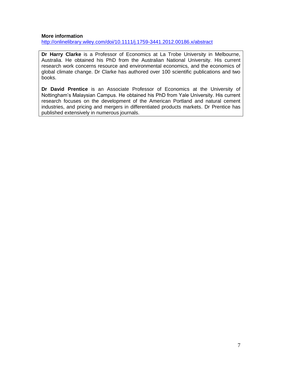## **More information**

<http://onlinelibrary.wiley.com/doi/10.1111/j.1759-3441.2012.00186.x/abstract>

**Dr Harry Clarke** is a Professor of Economics at La Trobe University in Melbourne, Australia. He obtained his PhD from the Australian National University. His current research work concerns resource and environmental economics, and the economics of global climate change. Dr Clarke has authored over 100 scientific publications and two books.

**Dr David Prentice** is an Associate Professor of Economics at the University of Nottingham's Malaysian Campus. He obtained his PhD from Yale University. His current research focuses on the development of the American Portland and natural cement industries, and pricing and mergers in differentiated products markets. Dr Prentice has published extensively in numerous journals.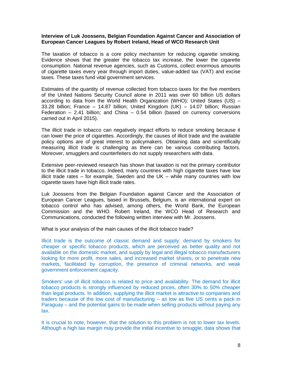#### **Interview of Luk Joossens, Belgian Foundation Against Cancer and Association of European Cancer Leagues by Robert Ireland, Head of WCO Research Unit**

The taxation of tobacco is a core policy mechanism for reducing cigarette smoking. Evidence shows that the greater the tobacco tax increase, the lower the cigarette consumption. National revenue agencies, such as Customs, collect enormous amounts of cigarette taxes every year through import duties, value-added tax (VAT) and excise taxes. These taxes fund vital government services.

Estimates of the quantity of revenue collected from tobacco taxes for the five members of the United Nations Security Council alone in 2011 was over 60 billion US dollars according to data from the World Health Organization (WHO): United States (US) – 33.28 billion; France – 14.87 billion; United Kingdom (UK) – 14.07 billion; Russian Federation  $-$  2.41 billion; and China  $-$  0.54 billion (based on currency conversions carried out in April 2015).

The illicit trade in tobacco can negatively impact efforts to reduce smoking because it can lower the price of cigarettes. Accordingly, the causes of illicit trade and the available policy options are of great interest to policymakers. Obtaining data and scientifically measuring illicit trade is challenging as there can be various contributing factors. Moreover, smugglers and counterfeiters do not supply researchers with data.

Extensive peer-reviewed research has shown that taxation is not the primary contributor to the illicit trade in tobacco. Indeed, many countries with high cigarette taxes have low illicit trade rates – for example, Sweden and the UK – while many countries with low cigarette taxes have high illicit trade rates.

Luk Joossens from the Belgian Foundation against Cancer and the Association of European Cancer Leagues, based in Brussels, Belgium, is an international expert on tobacco control who has advised, among others, the World Bank, the European Commission and the WHO. Robert Ireland, the WCO Head of Research and Communications, conducted the following written interview with Mr. Joossens.

What is your analysis of the main causes of the illicit tobacco trade?

Illicit trade is the outcome of classic demand and supply: demand by smokers for cheaper or specific tobacco products, which are perceived as better quality and not available on the domestic market, and supply by legal and illegal tobacco manufacturers looking for more profit, more sales, and increased market shares, or to penetrate new markets, facilitated by corruption, the presence of criminal networks, and weak government enforcement capacity.

Smokers' use of illicit tobacco is related to price and availability. The demand for illicit tobacco products is strongly influenced by reduced prices, often 30% to 50% cheaper than legal products. In addition, supplying the illicit market is attractive to companies and traders because of the low cost of manufacturing – as low as five US cents a pack in Paraguay – and the potential gains to be made when selling products without paying any tax.

It is crucial to note, however, that the solution to this problem is not to lower tax levels. Although a high tax margin may provide the initial incentive to smuggle, data shows that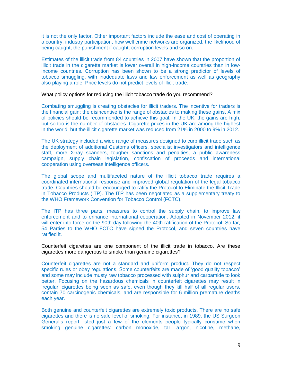it is not the only factor. Other important factors include the ease and cost of operating in a country, industry participation, how well crime networks are organized, the likelihood of being caught, the punishment if caught, corruption levels and so on.

Estimates of the illicit trade from 84 countries in 2007 have shown that the proportion of illicit trade in the cigarette market is lower overall in high-income countries than in lowincome countries. Corruption has been shown to be a strong predictor of levels of tobacco smuggling, with inadequate laws and law enforcement as well as geography also playing a role. Price levels do not predict levels of illicit trade.

What policy options for reducing the illicit tobacco trade do you recommend?

Combating smuggling is creating obstacles for illicit traders. The incentive for traders is the financial gain; the disincentive is the range of obstacles to making these gains. A mix of policies should be recommended to achieve this goal. In the UK, the gains are high, but so too is the number of obstacles. Cigarette prices in the UK are among the highest in the world, but the illicit cigarette market was reduced from 21% in 2000 to 9% in 2012.

The UK strategy included a wide range of measures designed to curb illicit trade such as the deployment of additional Customs officers, specialist investigators and intelligence staff, more X-ray scanners, tougher sanctions and penalties, a public awareness campaign, supply chain legislation, confiscation of proceeds and international cooperation using overseas intelligence officers.

The global scope and multifaceted nature of the illicit tobacco trade requires a coordinated international response and improved global regulation of the legal tobacco trade. Countries should be encouraged to ratify the Protocol to Eliminate the Illicit Trade in Tobacco Products (ITP). The ITP has been negotiated as a supplementary treaty to the WHO Framework Convention for Tobacco Control (FCTC).

The ITP has three parts: measures to control the supply chain, to improve law enforcement and to enhance international cooperation. Adopted in November 2012, it will enter into force on the 90th day following the 40th ratification of the Protocol. So far, 54 Parties to the WHO FCTC have signed the Protocol, and seven countries have ratified it.

Counterfeit cigarettes are one component of the illicit trade in tobacco. Are these cigarettes more dangerous to smoke than genuine cigarettes?

Counterfeit cigarettes are not a standard and uniform product. They do not respect specific rules or obey regulations. Some counterfeits are made of 'good quality tobacco' and some may include musty raw tobacco processed with sulphur and carbamide to look better. Focusing on the hazardous chemicals in counterfeit cigarettes may result in 'regular' cigarettes being seen as safe, even though they kill half of all regular users, contain 70 carcinogenic chemicals, and are responsible for 6 million premature deaths each year.

Both genuine and counterfeit cigarettes are extremely toxic products. There are no safe cigarettes and there is no safe level of smoking. For instance, in 1989, the US Surgeon General's report listed just a few of the elements people typically consume when smoking genuine cigarettes: carbon monoxide, tar, argon, nicotine, methane,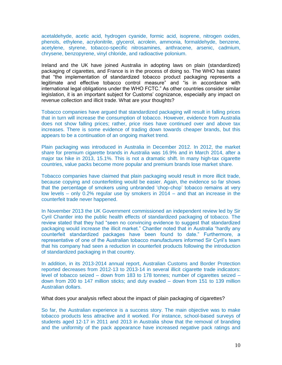acetaldehyde, acetic acid, hydrogen cyanide, formic acid, isoprene, nitrogen oxides, phenols, ethylene, acrylonitrile, glycerol, acrolein, ammonia, formaldehyde, benzene, acetylene, styrene, tobacco-specific nitrosamines, anthracene, arsenic, cadmium, chrysene, benzopyrene, vinyl chloride, and radioactive polonium.

Ireland and the UK have joined Australia in adopting laws on plain (standardized) packaging of cigarettes, and France is in the process of doing so. The WHO has stated that "the implementation of standardized tobacco product packaging represents a legitimate and effective tobacco control measure" and "is in accordance with international legal obligations under the WHO FCTC." As other countries consider similar legislation, it is an important subject for Customs' cognizance, especially any impact on revenue collection and illicit trade. What are your thoughts?

Tobacco companies have argued that standardized packaging will result in falling prices that in turn will increase the consumption of tobacco. However, evidence from Australia does not show falling prices; rather, price rises have continued over and above tax increases. There is some evidence of trading down towards cheaper brands, but this appears to be a continuation of an ongoing market trend.

Plain packaging was introduced in Australia in December 2012. In 2012, the market share for premium cigarette brands in Australia was 16.9% and in March 2014, after a major tax hike in 2013, 15.1%. This is not a dramatic shift. In many high-tax cigarette countries, value packs become more popular and premium brands lose market share.

Tobacco companies have claimed that plain packaging would result in more illicit trade, because copying and counterfeiting would be easier. Again, the evidence so far shows that the percentage of smokers using unbranded 'chop-chop' tobacco remains at very low levels – only 0.2% regular use by smokers in 2014 – and that an increase in the counterfeit trade never happened.

In November 2013 the UK Government commissioned an independent review led by Sir Cyril Chantler into the public health effects of standardized packaging of tobacco. The review stated that they had "seen no convincing evidence to suggest that standardized packaging would increase the illicit market." Chantler noted that in Australia "hardly any counterfeit standardized packages have been found to date." Furthermore, a representative of one of the Australian tobacco manufacturers informed Sir Cyril's team that his company had seen a reduction in counterfeit products following the introduction of standardized packaging in that country.

In addition, in its 2013-2014 annual report, Australian Customs and Border Protection reported decreases from 2012-13 to 2013-14 in several illicit cigarette trade indicators: level of tobacco seized – down from 183 to 178 tonnes; number of cigarettes seized – down from 200 to 147 million sticks; and duty evaded – down from 151 to 139 million Australian dollars.

What does your analysis reflect about the impact of plain packaging of cigarettes?

So far, the Australian experience is a success story. The main objective was to make tobacco products less attractive and it worked. For instance, school-based surveys of students aged 12-17 in 2011 and 2013 in Australia show that the removal of branding and the uniformity of the pack appearance have increased negative pack ratings and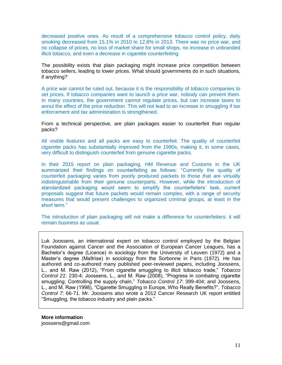decreased positive ones. As result of a comprehensive tobacco control policy, daily smoking decreased from 15.1% in 2010 to 12.8% in 2013. There was no price war, and no collapse of prices, no loss of market share for small shops, no increase in unbranded illicit tobacco, and even a decrease in cigarette counterfeiting.

The possibility exists that plain packaging might increase price competition between tobacco sellers, leading to lower prices. What should governments do in such situations, if anything?

A price war cannot be ruled out, because it is the responsibility of tobacco companies to set prices. If tobacco companies want to launch a price war, nobody can prevent them. In many countries, the government cannot regulate prices, but can increase taxes to annul the effect of the price reduction. This will not lead to an increase in smuggling if tax enforcement and tax administration is strengthened.

From a technical perspective, are plain packages easier to counterfeit than regular packs?

All visible features and all packs are easy to counterfeit. The quality of counterfeit cigarette packs has substantially improved from the 1990s, making it, in some cases, very difficult to distinguish counterfeit from genuine cigarette packs.

In their 2015 report on plain packaging, HM Revenue and Customs in the UK summarized their findings on counterfeiting as follows: "Currently the quality of counterfeit packaging varies from poorly produced packets to those that are virtually indistinguishable from their genuine counterparts. However, while the introduction of standardized packaging would seem to simplify the counterfeiters' task, current proposals suggest that future packets would remain complex, with a range of security measures that would present challenges to organized criminal groups, at least in the short term."

The introduction of plain packaging will not make a difference for counterfeiters: it will remain business as usual.

Luk Joossens, an international expert on tobacco control employed by the Belgian Foundation against Cancer and the Association of European Cancer Leagues, has a Bachelor's degree (Licence) in sociology from the University of Leuven (1972) and a Master's degree (Maîtrise) in sociology from the Sorbonne in Paris (1972). He has authored and co-authored many published peer-reviewed papers, including Joossens, L., and M. Raw (2012), "From cigarette smuggling to illicit tobacco trade," *Tobacco Control 21*: 230-4; Joossens, L., and M. Raw (2008), "Progress in combating cigarette smuggling: Controlling the supply chain," *Tobacco Control 17*: 399-404; and Joossens, L., and M. Raw (1998), "Cigarette Smuggling in Europe, Who Really Benefits?", *Tobacco Control 7*: 66-71. Mr. Joossens also wrote a 2012 Cancer Research UK report entitled "Smuggling, the tobacco industry and plain packs."

**More information** joossens@gmail.com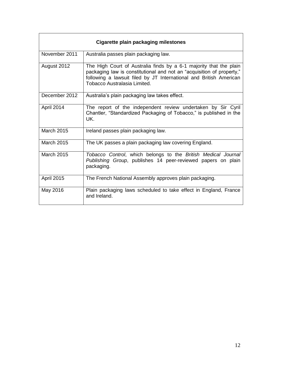| Cigarette plain packaging milestones |                                                                                                                                                                                                                                                   |  |
|--------------------------------------|---------------------------------------------------------------------------------------------------------------------------------------------------------------------------------------------------------------------------------------------------|--|
| November 2011                        | Australia passes plain packaging law.                                                                                                                                                                                                             |  |
| August 2012                          | The High Court of Australia finds by a 6-1 majority that the plain<br>packaging law is constitutional and not an "acquisition of property,"<br>following a lawsuit filed by JT International and British American<br>Tobacco Australasia Limited. |  |
| December 2012                        | Australia's plain packaging law takes effect.                                                                                                                                                                                                     |  |
| April 2014                           | The report of the independent review undertaken by Sir Cyril<br>Chantler, "Standardized Packaging of Tobacco," is published in the<br>UK.                                                                                                         |  |
| <b>March 2015</b>                    | Ireland passes plain packaging law.                                                                                                                                                                                                               |  |
| <b>March 2015</b>                    | The UK passes a plain packaging law covering England.                                                                                                                                                                                             |  |
| March 2015                           | Tobacco Control, which belongs to the British Medical Journal<br>Publishing Group, publishes 14 peer-reviewed papers on plain<br>packaging.                                                                                                       |  |
| <b>April 2015</b>                    | The French National Assembly approves plain packaging.                                                                                                                                                                                            |  |
| May 2016                             | Plain packaging laws scheduled to take effect in England, France<br>and Ireland.                                                                                                                                                                  |  |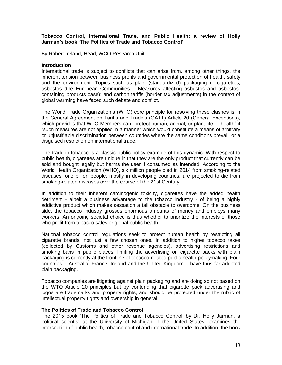### **Tobacco Control, International Trade, and Public Health: a review of Holly Jarman's book 'The Politics of Trade and Tobacco Control'**

By Robert Ireland, Head, WCO Research Unit

### **Introduction**

International trade is subject to conflicts that can arise from, among other things, the inherent tension between business profits and governmental protection of health, safety and the environment. Topics such as plain (standardized) packaging of cigarettes; asbestos (the European Communities – Measures affecting asbestos and asbestoscontaining products case); and carbon tariffs (border tax adjustments) in the context of global warming have faced such debate and conflict.

The World Trade Organization's (WTO) core principle for resolving these clashes is in the General Agreement on Tariffs and Trade's (GATT) Article 20 (General Exceptions), which provides that WTO Members can "protect human, animal, or plant life or health" if "such measures are not applied in a manner which would constitute a means of arbitrary or unjustifiable discrimination between countries where the same conditions prevail, or a disguised restriction on international trade."

The trade in tobacco is a classic public policy example of this dynamic. With respect to public health, cigarettes are unique in that they are the only product that currently can be sold and bought legally but harms the user if consumed as intended. According to the World Health Organization (WHO), six million people died in 2014 from smoking-related diseases; one billion people, mostly in developing countries, are projected to die from smoking-related diseases over the course of the 21st Century.

In addition to their inherent carcinogenic toxicity, cigarettes have the added health detriment - albeit a business advantage to the tobacco industry - of being a highly addictive product which makes cessation a tall obstacle to overcome. On the business side, the tobacco industry grosses enormous amounts of money and employs many workers. An ongoing societal choice is thus whether to prioritize the interests of those who profit from tobacco sales or global public health.

National tobacco control regulations seek to protect human health by restricting all cigarette brands, not just a few chosen ones. In addition to higher tobacco taxes (collected by Customs and other revenue agencies), advertising restrictions and smoking bans in public places, limiting the advertising on cigarette packs with plain packaging is currently at the frontline of tobacco-related public health policymaking. Four countries – Australia, France, Ireland and the United Kingdom – have thus far adopted plain packaging.

Tobacco companies are litigating against plain packaging and are doing so not based on the WTO Article 20 principles but by contending that cigarette pack advertising and logos are trademarks and property rights, and should be protected under the rubric of intellectual property rights and ownership in general.

## **The Politics of Trade and Tobacco Control**

The 2015 book 'The Politics of Trade and Tobacco Control' by Dr. Holly Jarman, a political scientist at the University of Michigan in the United States, examines the intersection of public health, tobacco control and international trade. In addition, the book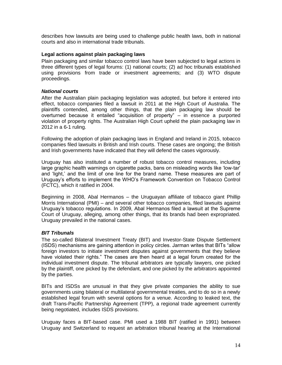describes how lawsuits are being used to challenge public health laws, both in national courts and also in international trade tribunals.

### **Legal actions against plain packaging laws**

Plain packaging and similar tobacco control laws have been subjected to legal actions in three different types of legal forums: (1) national courts; (2) ad hoc tribunals established using provisions from trade or investment agreements; and (3) WTO dispute proceedings.

#### *National courts*

After the Australian plain packaging legislation was adopted, but before it entered into effect, tobacco companies filed a lawsuit in 2011 at the High Court of Australia. The plaintiffs contended, among other things, that the plain packaging law should be overturned because it entailed "acquisition of property" – in essence a purported violation of property rights. The Australian High Court upheld the plain packaging law in 2012 in a 6-1 ruling.

Following the adoption of plain packaging laws in England and Ireland in 2015, tobacco companies filed lawsuits in British and Irish courts. These cases are ongoing; the British and Irish governments have indicated that they will defend the cases vigorously.

Uruguay has also instituted a number of robust tobacco control measures, including large graphic health warnings on cigarette packs, bans on misleading words like 'low-tar' and 'light,' and the limit of one line for the brand name. These measures are part of Uruguay's efforts to implement the WHO's Framework Convention on Tobacco Control (FCTC), which it ratified in 2004.

Beginning in 2008, Abal Hermanos – the Uruguayan affiliate of tobacco giant Phillip Morris International (PMI) – and several other tobacco companies, filed lawsuits against Uruguay's tobacco regulations. In 2009, Abal Hermanos filed a lawsuit at the Supreme Court of Uruguay, alleging, among other things, that its brands had been expropriated. Uruguay prevailed in the national cases.

## *BIT Tribunals*

The so-called Bilateral Investment Treaty (BIT) and Investor-State Dispute Settlement (ISDS) mechanisms are gaining attention in policy circles. Jarman writes that BITs "allow foreign investors to initiate investment disputes against governments that they believe have violated their rights." The cases are then heard at a legal forum created for the individual investment dispute. The tribunal arbitrators are typically lawyers, one picked by the plaintiff, one picked by the defendant, and one picked by the arbitrators appointed by the parties.

BITs and ISDSs are unusual in that they give private companies the ability to sue governments using bilateral or multilateral governmental treaties, and to do so in a newly established legal forum with several options for a venue. According to leaked text, the draft Trans-Pacific Partnership Agreement (TPP), a regional trade agreement currently being negotiated, includes ISDS provisions.

Uruguay faces a BIT-based case. PMI used a 1988 BIT (ratified in 1991) between Uruguay and Switzerland to request an arbitration tribunal hearing at the International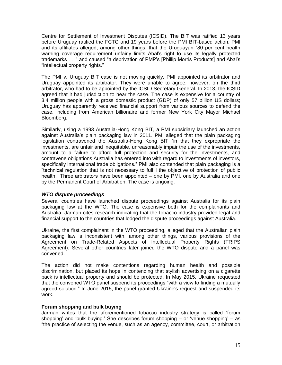Centre for Settlement of Investment Disputes (ICSID). The BIT was ratified 13 years before Uruguay ratified the FCTC and 19 years before the PMI BIT-based action. PMI and its affiliates alleged, among other things, that the Uruguayan "80 per cent health warning coverage requirement unfairly limits Abal's right to use its legally protected trademarks . . ." and caused "a deprivation of PMP's [Phillip Morris Products] and Abal's "intellectual property rights."

The PMI v. Uruguay BIT case is not moving quickly. PMI appointed its arbitrator and Uruguay appointed its arbitrator. They were unable to agree, however, on the third arbitrator, who had to be appointed by the ICSID Secretary General. In 2013, the ICSID agreed that it had jurisdiction to hear the case. The case is expensive for a country of 3.4 million people with a gross domestic product (GDP) of only 57 billion US dollars; Uruguay has apparently received financial support from various sources to defend the case, including from American billionaire and former New York City Mayor Michael Bloomberg.

Similarly, using a 1993 Australia-Hong Kong BIT, a PMI subsidiary launched an action against Australia's plain packaging law in 2011. PMI alleged that the plain packaging legislation contravened the Australia-Hong Kong BIT "in that they expropriate the investments, are unfair and inequitable, unreasonably impair the use of the investments, amount to a failure to afford full protection and security for the investments, and contravene obligations Australia has entered into with regard to investments of investors, specifically international trade obligations." PMI also contended that plain packaging is a "technical regulation that is not necessary to fulfill the objective of protection of public health." Three arbitrators have been appointed – one by PMI, one by Australia and one by the Permanent Court of Arbitration. The case is ongoing.

## *WTO dispute proceedings*

Several countries have launched dispute proceedings against Australia for its plain packaging law at the WTO. The case is expensive both for the complainants and Australia. Jarman cites research indicating that the tobacco industry provided legal and financial support to the countries that lodged the dispute proceedings against Australia.

Ukraine, the first complainant in the WTO proceeding, alleged that the Australian plain packaging law is inconsistent with, among other things, various provisions of the Agreement on Trade-Related Aspects of Intellectual Property Rights (TRIPS Agreement). Several other countries later joined the WTO dispute and a panel was convened.

The action did not make contentions regarding human health and possible discrimination, but placed its hope in contending that stylish advertising on a cigarette pack is intellectual property and should be protected. In May 2015, Ukraine requested that the convened WTO panel suspend its proceedings "with a view to finding a mutually agreed solution." In June 2015, the panel granted Ukraine's request and suspended its work.

## **Forum shopping and bulk buying**

Jarman writes that the aforementioned tobacco industry strategy is called 'forum shopping' and 'bulk buying.' She describes forum shopping – or 'venue shopping' – as "the practice of selecting the venue, such as an agency, committee, court, or arbitration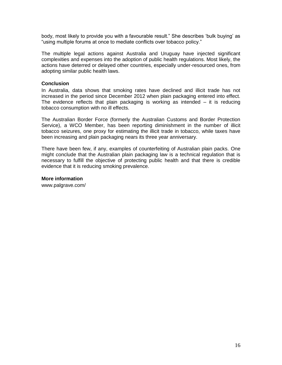body, most likely to provide you with a favourable result." She describes 'bulk buying' as "using multiple forums at once to mediate conflicts over tobacco policy."

The multiple legal actions against Australia and Uruguay have injected significant complexities and expenses into the adoption of public health regulations. Most likely, the actions have deterred or delayed other countries, especially under-resourced ones, from adopting similar public health laws.

#### **Conclusion**

In Australia, data shows that smoking rates have declined and illicit trade has not increased in the period since December 2012 when plain packaging entered into effect. The evidence reflects that plain packaging is working as intended – it is reducing tobacco consumption with no ill effects.

The Australian Border Force (formerly the Australian Customs and Border Protection Service), a WCO Member, has been reporting diminishment in the number of illicit tobacco seizures, one proxy for estimating the illicit trade in tobacco, while taxes have been increasing and plain packaging nears its three year anniversary.

There have been few, if any, examples of counterfeiting of Australian plain packs. One might conclude that the Australian plain packaging law is a technical regulation that is necessary to fulfill the objective of protecting public health and that there is credible evidence that it is reducing smoking prevalence.

#### **More information**

www.palgrave.com/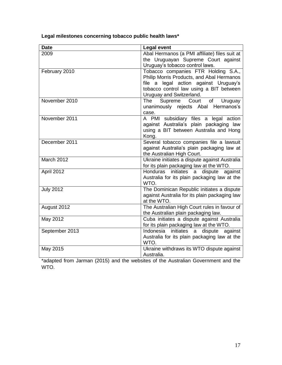**Legal milestones concerning tobacco public health laws\***

| <b>Date</b>      | <b>Legal event</b>                                                                                                                                                                               |
|------------------|--------------------------------------------------------------------------------------------------------------------------------------------------------------------------------------------------|
| 2009             | Abal Hermanos (a PMI affiliate) files suit at<br>the Uruguayan Supreme Court against<br>Uruguay's tobacco control laws.                                                                          |
| February 2010    | Tobacco companies FTR Holding S.A.,<br>Philip Morris Products, and Abal Hermanos<br>file a legal action against Uruguay's<br>tobacco control law using a BIT between<br>Uruguay and Switzerland. |
| November 2010    | <b>The</b><br>Supreme<br>Court<br>Uruguay<br>of<br>unanimously rejects Abal Hermanos's<br>case.                                                                                                  |
| November 2011    | A PMI subsidiary files a legal action<br>against Australia's plain packaging law<br>using a BIT between Australia and Hong<br>Kong.                                                              |
| December 2011    | Several tobacco companies file a lawsuit<br>against Australia's plain packaging law at<br>the Australian High Court.                                                                             |
| March 2012       | Ukraine initiates a dispute against Australia<br>for its plain packaging law at the WTO.                                                                                                         |
| April 2012       | initiates<br>Honduras<br>a dispute<br>against<br>Australia for its plain packaging law at the<br>WTO.                                                                                            |
| <b>July 2012</b> | The Dominican Republic initiates a dispute<br>against Australia for its plain packaging law<br>at the WTO.                                                                                       |
| August 2012      | The Australian High Court rules in favour of<br>the Australian plain packaging law.                                                                                                              |
| May 2012         | Cuba initiates a dispute against Australia<br>for its plain packaging law at the WTO.                                                                                                            |
| September 2013   | initiates<br>Indonesia<br>dispute<br>against<br>a<br>Australia for its plain packaging law at the<br>WTO.                                                                                        |
| May 2015         | Ukraine withdraws its WTO dispute against<br>Australia.                                                                                                                                          |

\*adapted from Jarman (2015) and the websites of the Australian Government and the WTO.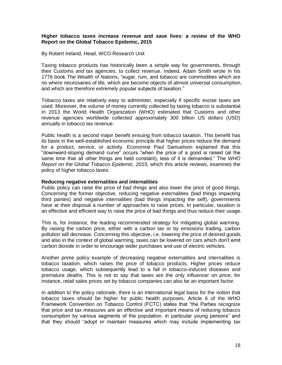## **Higher tobacco taxes increase revenue and save lives: a review of the WHO Report on the Global Tobacco Epidemic, 2015**

#### By Robert Ireland, Head, WCO Research Unit

Taxing tobacco products has historically been a simple way for governments, through their Customs and tax agencies, to collect revenue. Indeed, Adam Smith wrote in his 1776 book *The Wealth of Nations*, "sugar, rum, and tobacco are commodities which are no where necessaries of life, which are become objects of almost universal consumption, and which are therefore extremely popular subjects of taxation."

Tobacco taxes are relatively easy to administer, especially if specific excise taxes are used. Moreover, the volume of money currently collected by taxing tobacco is substantial. In 2013 the World Health Organization (WHO) estimated that Customs and other revenue agencies worldwide collected approximately 300 billion US dollars (USD) annually in tobacco tax revenue.

Public health is a second major benefit ensuing from tobacco taxation. This benefit has its basis in the well-established economic principle that higher prices reduce the demand for a product, service, or activity. Economist Paul Samuelson explained that this "downward-sloping demand curve" occurs "when the price of a good is raised (at the same time that all other things are held constant), less of it is demanded." The *WHO Report on the Global Tobacco Epidemic, 2015,* which this article reviews, examines the policy of higher tobacco taxes.

#### **Reducing negative externalities and internalities**

Public policy can raise the price of bad things and also lower the price of good things. Concerning the former objective, reducing negative externalities (bad things impacting third parties) and negative internalities (bad things impacting the self), governments have at their disposal a number of approaches to raise prices. In particular, taxation is an effective and efficient way to raise the price of bad things and thus reduce their usage.

This is, for instance, the leading recommended strategy for mitigating global warming. By raising the carbon price, either with a carbon tax or by emissions trading, carbon pollution will decrease. Concerning this objective, i.e. lowering the price of desired goods, and also in the context of global warming, taxes can be lowered on cars which don't emit carbon dioxide in order to encourage wider purchases and use of electric vehicles.

Another prime policy example of decreasing negative externalities and internalities is tobacco taxation, which raises the price of tobacco products. Higher prices reduce tobacco usage, which subsequently lead to a fall in tobacco-induced diseases and premature deaths. This is not to say that taxes are the only influencer on price; for instance, retail sales prices set by tobacco companies can also be an important factor.

In addition to the policy rationale, there is an international legal basis for the notion that tobacco taxes should be higher for public health purposes. Article 6 of the WHO Framework Convention on Tobacco Control (FCTC) states that "the Parties recognize that price and tax measures are an effective and important means of reducing tobacco consumption by various segments of the population, in particular young persons" and that they should "adopt or maintain measures which may include implementing tax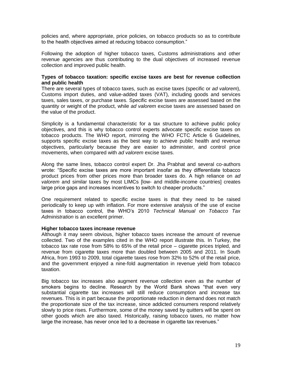policies and, where appropriate, price policies, on tobacco products so as to contribute to the health objectives aimed at reducing tobacco consumption."

Following the adoption of higher tobacco taxes, Customs administrations and other revenue agencies are thus contributing to the dual objectives of increased revenue collection and improved public health.

#### **Types of tobacco taxation: specific excise taxes are best for revenue collection and public health**

There are several types of tobacco taxes, such as excise taxes (specific or *ad valorem*), Customs import duties, and value-added taxes (VAT), including goods and services taxes, sales taxes, or purchase taxes. Specific excise taxes are assessed based on the quantity or weight of the product, while *ad valorem* excise taxes are assessed based on the value of the product.

Simplicity is a fundamental characteristic for a tax structure to achieve public policy objectives, and this is why tobacco control experts advocate specific excise taxes on tobacco products. The WHO report, mirroring the WHO FCTC Article 6 Guidelines, supports specific excise taxes as the best way to achieve public health and revenue objectives, particularly because they are easier to administer, and control price movements, when compared with *ad valorem* excise taxes.

Along the same lines, tobacco control expert Dr. Jha Prabhat and several co-authors wrote: "Specific excise taxes are more important insofar as they differentiate tobacco product prices from other prices more than broader taxes do. A high reliance on *ad valorem* and similar taxes by most LIMCs [low- and middle-income countries] creates large price gaps and increases incentives to switch to cheaper products."

One requirement related to specific excise taxes is that they need to be raised periodically to keep up with inflation. For more extensive analysis of the use of excise taxes in tobacco control, the WHO's 2010 *Technical Manual on Tobacco Tax Administration* is an excellent primer.

#### **Higher tobacco taxes increase revenue**

Although it may seem obvious, higher tobacco taxes increase the amount of revenue collected. Two of the examples cited in the WHO report illustrate this. In Turkey, the tobacco tax rate rose from 58% to 65% of the retail price – cigarette prices tripled, and revenue from cigarette taxes more than doubled between 2005 and 2011. In South Africa, from 1993 to 2009, total cigarette taxes rose from 32% to 52% of the retail price, and the government enjoyed a nine-fold augmentation in revenue yield from tobacco taxation.

Big tobacco tax increases also augment revenue collection even as the number of smokers begins to decline. Research by the World Bank shows "that even very substantial cigarette tax increases will still reduce consumption and increase tax revenues. This is in part because the proportionate reduction in demand does not match the proportionate size of the tax increase, since addicted consumers respond relatively slowly to price rises. Furthermore, some of the money saved by quitters will be spent on other goods which are also taxed. Historically, raising tobacco taxes, no matter how large the increase, has never once led to a decrease in cigarette tax revenues."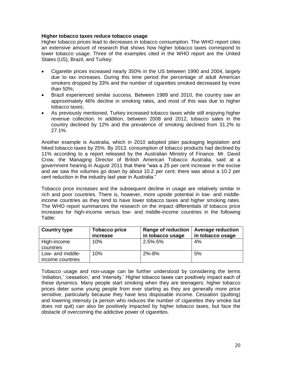## **Higher tobacco taxes reduce tobacco usage**

Higher tobacco prices lead to decreases in tobacco consumption. The WHO report cites an extensive amount of research that shows how higher tobacco taxes correspond to lower tobacco usage. Three of the examples cited in the WHO report are the United States (US), Brazil, and Turkey:

- Cigarette prices increased nearly 350% in the US between 1990 and 2004, largely due to tax increases. During this time period the percentage of adult American smokers dropped by 33% and the number of cigarettes smoked decreased by more than 50%;
- Brazil experienced similar success. Between 1989 and 2010, the country saw an approximately 46% decline in smoking rates, and most of this was due to higher tobacco taxes;
- As previously mentioned, Turkey increased tobacco taxes while still enjoying higher revenue collection. In addition, between 2008 and 2012, tobacco sales in the country declined by 12% and the prevalence of smoking declined from 31.2% to 27.1%.

Another example is Australia, which in 2010 adopted plain packaging legislation and hiked tobacco taxes by 25%. By 2013, consumption of tobacco products had declined by 11% according to a report released by the Australian Ministry of Finance. Mr. David Crow, the Managing Director of British American Tobacco Australia, said at a government hearing in August 2011 that there "was a 25 per cent increase in the excise and we saw the volumes go down by about 10.2 per cent; there was about a 10.2 per cent reduction in the industry last year in Australia."

Tobacco price increases and the subsequent decline in usage are relatively similar in rich and poor countries. There is, however, more upside potential in low- and middleincome countries as they tend to have lower tobacco taxes and higher smoking rates. The WHO report summarizes the research on the impact differentials of tobacco price increases for high-income versus low- and middle-income countries in the following Table:

| <b>Country type</b>                  | <b>Tobacco price</b><br>increase | <b>Range of reduction</b><br>in tobacco usage | <b>Average reduction</b><br>in tobacco usage |
|--------------------------------------|----------------------------------|-----------------------------------------------|----------------------------------------------|
| High-income<br>countries             | 10%                              | $2.5\% - 5\%$                                 | 4%                                           |
| Low- and middle-<br>income countries | 10%                              | 2%-8%                                         | 5%                                           |

Tobacco usage and non-usage can be further understood by considering the terms 'initiation,' 'cessation,' and 'intensity.' Higher tobacco taxes can positively impact each of these dynamics. Many people start smoking when they are teenagers; higher tobacco prices deter some young people from ever starting as they are generally more price sensitive, particularly because they have less disposable income. Cessation (quitting) and lowering intensity (a person who reduces the number of cigarettes they smoke but does not quit) can also be positively impacted by higher tobacco taxes, but face the obstacle of overcoming the addictive power of cigarettes.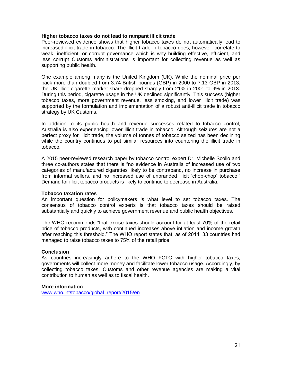#### **Higher tobacco taxes do not lead to rampant illicit trade**

Peer-reviewed evidence shows that higher tobacco taxes do not automatically lead to increased illicit trade in tobacco. The illicit trade in tobacco does, however, correlate to weak, inefficient, or corrupt governance which is why building effective, efficient, and less corrupt Customs administrations is important for collecting revenue as well as supporting public health.

One example among many is the United Kingdom (UK). While the nominal price per pack more than doubled from 3.74 British pounds (GBP) in 2000 to 7.13 GBP in 2013, the UK illicit cigarette market share dropped sharply from 21% in 2001 to 9% in 2013. During this period, cigarette usage in the UK declined significantly. This success (higher tobacco taxes, more government revenue, less smoking, and lower illicit trade) was supported by the formulation and implementation of a robust anti-illicit trade in tobacco strategy by UK Customs.

In addition to its public health and revenue successes related to tobacco control, Australia is also experiencing lower illicit trade in tobacco. Although seizures are not a perfect proxy for illicit trade, the volume of tonnes of tobacco seized has been declining while the country continues to put similar resources into countering the illicit trade in tobacco.

A 2015 peer-reviewed research paper by tobacco control expert Dr. Michelle Scollo and three co-authors states that there is "no evidence in Australia of increased use of two categories of manufactured cigarettes likely to be contraband, no increase in purchase from informal sellers, and no increased use of unbranded illicit 'chop-chop' tobacco." Demand for illicit tobacco products is likely to continue to decrease in Australia.

#### **Tobacco taxation rates**

An important question for policymakers is what level to set tobacco taxes. The consensus of tobacco control experts is that tobacco taxes should be raised substantially and quickly to achieve government revenue and public health objectives.

The WHO recommends "that excise taxes should account for at least 70% of the retail price of tobacco products, with continued increases above inflation and income growth after reaching this threshold." The WHO report states that, as of 2014, 33 countries had managed to raise tobacco taxes to 75% of the retail price.

#### **Conclusion**

As countries increasingly adhere to the WHO FCTC with higher tobacco taxes, governments will collect more money and facilitate lower tobacco usage. Accordingly, by collecting tobacco taxes, Customs and other revenue agencies are making a vital contribution to human as well as to fiscal health.

#### **More information**

[www.who.int/tobacco/global\\_report/2015/en](http://www.who.int/tobacco/global_report/2015/en)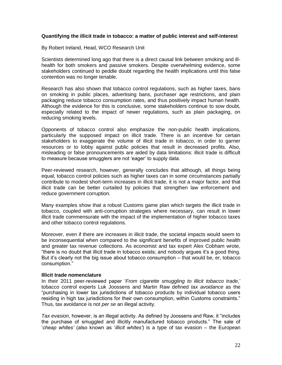## **Quantifying the illicit trade in tobacco: a matter of public interest and self-interest**

By Robert Ireland, Head, WCO Research Unit

Scientists determined long ago that there is a direct causal link between smoking and illhealth for both smokers and passive smokers. Despite overwhelming evidence, some stakeholders continued to peddle doubt regarding the health implications until this false contention was no longer tenable.

Research has also shown that tobacco control regulations, such as higher taxes, bans on smoking in public places, advertising bans, purchaser age restrictions, and plain packaging reduce tobacco consumption rates, and thus positively impact human health. Although the evidence for this is conclusive, some stakeholders continue to sow doubt, especially related to the impact of newer regulations, such as plain packaging, on reducing smoking levels.

Opponents of tobacco control also emphasize the non-public health implications, particularly the supposed impact on illicit trade. There is an incentive for certain stakeholders to exaggerate the volume of illicit trade in tobacco, in order to garner resources or to lobby against public policies that result in decreased profits. Also, misleading or false pronouncements are aided by data limitations: illicit trade is difficult to measure because smugglers are not 'eager' to supply data.

Peer-reviewed research, however, generally concludes that although, all things being equal, tobacco control policies such as higher taxes can in some circumstances partially contribute to modest short-term increases in illicit trade, it is not a major factor, and that illicit trade can be better curtailed by policies that strengthen law enforcement and reduce government corruption.

Many examples show that a robust Customs game plan which targets the illicit trade in tobacco, coupled with anti-corruption strategies where necessary, can result in lower illicit trade commensurate with the impact of the implementation of higher tobacco taxes and other tobacco control regulations.

Moreover, even if there are increases in illicit trade, the societal impacts would seem to be inconsequential when compared to the significant benefits of improved public health and greater tax revenue collections. As economist and tax expert Alex Cobham wrote, "there is no doubt that illicit trade in tobacco exists; and nobody argues it's a good thing. But it's clearly not the big issue about tobacco consumption – that would be, er, tobacco consumption."

#### **Illicit trade nomenclature**

In their 2011 peer-reviewed paper '*From cigarette smuggling to illicit tobacco trade*,' tobacco control experts Luk Joossens and Martin Raw defined *tax avoidance* as the "purchasing in lower tax jurisdictions of tobacco products by individual tobacco users residing in high tax jurisdictions for their own consumption, within Customs constraints." Thus, tax avoidance is not *per se* an illegal activity.

*Tax evasion*, however, is an illegal activity. As defined by Joossens and Raw, it "includes the purchase of smuggled and illicitly manufactured tobacco products." The sale of '*cheap whites'* (also known as '*illicit whites'*) is a type of tax evasion – the European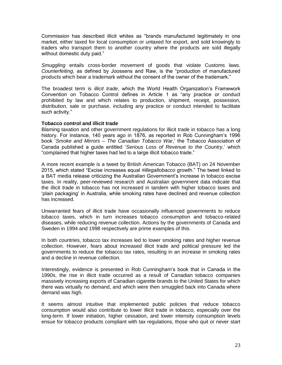Commission has described illicit whites as "brands manufactured legitimately in one market, either taxed for local consumption or untaxed for export, and sold knowingly to traders who transport them to another country where the products are sold illegally without domestic duty paid."

*Smuggling* entails cross-border movement of goods that violate Customs laws. *Counterfeiting*, as defined by Joossens and Raw, is the "production of manufactured products which bear a trademark without the consent of the owner of the trademark."

The broadest term is *illicit trade*, which the World Health Organization's Framework Convention on Tobacco Control defines in Article 1 as "any practice or conduct prohibited by law and which relates to production, shipment, receipt, possession, distribution, sale or purchase, including any practice or conduct intended to facilitate such activity."

### **Tobacco control and illicit trade**

Blaming taxation and other government regulations for illicit trade in tobacco has a long history. For instance, 140 years ago in 1876, as reported in Rob Cunningham's 1996 book '*Smoke and Mirrors – The Canadian Tobacco War*,' the Tobacco Association of Canada published a guide entitled '*Serious Loss of Revenue to the Country*,' which "complained that higher taxes had led to a large illicit tobacco trade."

A more recent example is a tweet by British American Tobacco (BAT) on 24 November 2015, which stated "Excise increases equal *#illegaltobacco* growth." The tweet linked to a BAT media release criticizing the Australian Government's increase in tobacco excise taxes. In reality, peer-reviewed research and Australian government data indicate that the illicit trade in tobacco has not increased in tandem with higher tobacco taxes and 'plain packaging' in Australia, while smoking rates have declined and revenue collection has increased.

Unwarranted fears of illicit trade have occasionally influenced governments to reduce tobacco taxes, which in turn increases tobacco consumption and tobacco-related diseases, while reducing revenue collection. Actions by the governments of Canada and Sweden in 1994 and 1998 respectively are prime examples of this.

In both countries, tobacco tax increases led to lower smoking rates and higher revenue collection. However, fears about increased illicit trade and political pressure led the governments to reduce the tobacco tax rates, resulting in an increase in smoking rates and a decline in revenue collection.

Interestingly, evidence is presented in Rob Cunningham's book that in Canada in the 1990s, the rise in illicit trade occurred as a result of Canadian tobacco companies massively increasing exports of Canadian cigarette brands to the United States for which there was virtually no demand, and which were then smuggled back into Canada where demand was high.

It seems almost intuitive that implemented public policies that reduce tobacco consumption would also contribute to lower illicit trade in tobacco, especially over the long-term. If lower initiation, higher cessation, and lower intensity consumption levels ensue for tobacco products compliant with tax regulations, those who quit or never start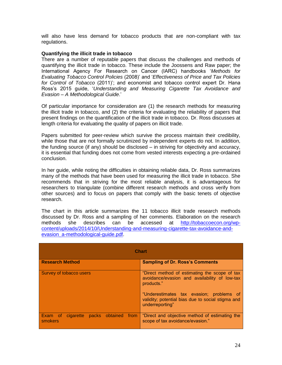will also have less demand for tobacco products that are non-compliant with tax regulations.

#### **Quantifying the illicit trade in tobacco**

There are a number of reputable papers that discuss the challenges and methods of quantifying the illicit trade in tobacco. These include the Joossens and Raw paper; the International Agency For Research on Cancer (IARC) handbooks '*Methods for Evaluating Tobacco Control Policies* (2008)' and '*Effectiveness of Price and Tax Policies for Control of Tobacco* (2011)'; and economist and tobacco control expert Dr. Hana Ross's 2015 guide, '*Understanding and Measuring Cigarette Tax Avoidance and Evasion – A Methodological Guide*.'

Of particular importance for consideration are (1) the research methods for measuring the illicit trade in tobacco, and (2) the criteria for evaluating the reliability of papers that present findings on the quantification of the illicit trade in tobacco. Dr. Ross discusses at length criteria for evaluating the quality of papers on illicit trade.

Papers submitted for peer-review which survive the process maintain their credibility, while those that are not formally scrutinized by independent experts do not. In addition, the funding source (if any) should be disclosed – in striving for objectivity and accuracy, it is essential that funding does not come from vested interests expecting a pre-ordained conclusion.

In her guide, while noting the difficulties in obtaining reliable data, Dr. Ross summarizes many of the methods that have been used for measuring the illicit trade in tobacco. She recommends that in striving for the most reliable analysis, it is advantageous for researchers to triangulate (combine different research methods and cross verify from other sources) and to focus on papers that comply with the basic tenets of objective research.

The chart in this article summarizes the 11 tobacco illicit trade research methods discussed by Dr. Ross and a sampling of her comments. Elaboration on the research methods she describes can be accessed at [http://tobaccoecon.org/wp](http://tobaccoecon.org/wp-content/uploads/2014/10/Understanding-and-measuring-cigarette-tax-avoidance-and-evasion_a-methodological-guide.pdf)[content/uploads/2014/10/Understanding-and-measuring-cigarette-tax-avoidance-and](http://tobaccoecon.org/wp-content/uploads/2014/10/Understanding-and-measuring-cigarette-tax-avoidance-and-evasion_a-methodological-guide.pdf)[evasion\\_a-methodological-guide.pdf.](http://tobaccoecon.org/wp-content/uploads/2014/10/Understanding-and-measuring-cigarette-tax-avoidance-and-evasion_a-methodological-guide.pdf)

| <b>Chart</b>                                               |                                                                                                                                                                                                                                  |  |  |
|------------------------------------------------------------|----------------------------------------------------------------------------------------------------------------------------------------------------------------------------------------------------------------------------------|--|--|
| <b>Research Method</b>                                     | <b>Sampling of Dr. Ross's Comments</b>                                                                                                                                                                                           |  |  |
| Survey of tobacco users                                    | "Direct method of estimating the scope of tax<br>avoidance/evasion and availability of low-tax<br>products."<br>"Underestimates tax evasion; problems of<br>validity; potential bias due to social stigma and<br>underreporting" |  |  |
| packs obtained from<br><b>Exam</b> of cigarette<br>smokers | "Direct and objective method of estimating the<br>scope of tax avoidance/evasion."                                                                                                                                               |  |  |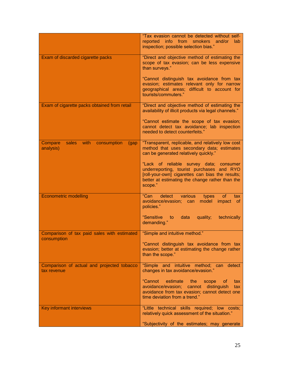|                                                               | "Tax evasion cannot be detected without self-<br>info from smokers and/or<br>reported<br>lab<br>inspection; possible selection bias."                                                                  |
|---------------------------------------------------------------|--------------------------------------------------------------------------------------------------------------------------------------------------------------------------------------------------------|
| Exam of discarded cigarette packs                             | "Direct and objective method of estimating the<br>scope of tax evasion; can be less expensive<br>than surveys."                                                                                        |
|                                                               | "Cannot distinguish tax avoidance from tax<br>evasion; estimates relevant only for narrow<br>geographical areas; difficult to account for<br>tourists/commuters."                                      |
| Exam of cigarette packs obtained from retail                  | "Direct and objective method of estimating the<br>availability of illicit products via legal channels."                                                                                                |
|                                                               | "Cannot estimate the scope of tax evasion;<br>cannot detect tax avoidance; lab inspection<br>needed to detect counterfeits."                                                                           |
| Compare<br>sales<br>with<br>consumption<br>(gap)<br>analysis) | "Transparent, replicable, and relatively low cost<br>method that uses secondary data; estimates<br>can be generated relatively quickly."                                                               |
|                                                               | "Lack of reliable survey data; consumer<br>underreporting, tourist purchases and RYO<br>[roll-your-own] cigarettes can bias the results;<br>better at estimating the change rather than the<br>scope." |
| <b>Econometric modelling</b>                                  | "Can<br>detect<br>various<br>types<br><b>of</b><br>tax<br>avoidance/evasion;<br>model<br>impact<br>can<br><sub>of</sub><br>policies."                                                                  |
|                                                               | "Sensitive<br>data<br>quality;<br>technically<br>to:<br>demanding."                                                                                                                                    |
| Comparison of tax paid sales with estimated<br>consumption    | "Simple and intuitive method."                                                                                                                                                                         |
|                                                               | "Cannot distinguish tax avoidance from tax<br>evasion; better at estimating the change rather<br>than the scope."                                                                                      |
| Comparison of actual and projected tobacco<br>tax revenue     | "Simple and intuitive method; can detect<br>changes in tax avoidance/evasion."                                                                                                                         |
|                                                               | "Cannot estimate the<br>scope<br>of.<br>tax<br>avoidance/evasion; cannot distinguish<br>tax<br>avoidance from tax evasion; cannot detect one<br>time deviation from a trend."                          |
| <b>Key informant interviews</b>                               | "Little technical skills required; low costs;<br>relatively quick assessment of the situation."                                                                                                        |
|                                                               | "Subjectivity of the estimates; may generate                                                                                                                                                           |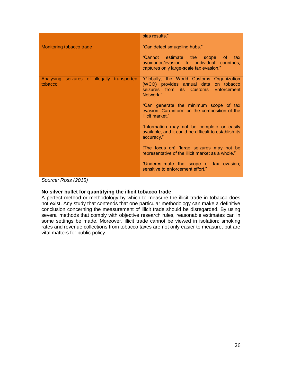|                                                        | bias results."                                                                                                                           |
|--------------------------------------------------------|------------------------------------------------------------------------------------------------------------------------------------------|
| Monitoring tobacco trade                               | "Can detect smuggling hubs."                                                                                                             |
|                                                        | "Cannot estimate the scope of tax<br>avoidance/evasion for individual countries;<br>captures only large-scale tax evasion."              |
| Analysing seizures of illegally transported<br>tobacco | "Globally, the World Customs Organization<br>(WCO) provides annual data on tobacco<br>seizures from its Customs Enforcement<br>Network." |
|                                                        | "Can generate the minimum scope of tax<br>evasion. Can inform on the composition of the<br>illicit market."                              |
|                                                        | "Information may not be complete or easily<br>available, and it could be difficult to establish its<br>accuracy."                        |
|                                                        | [The focus on] "large seizures may not be<br>representative of the illicit market as a whole."                                           |
|                                                        | "Underestimate the scope of tax evasion;<br>sensitive to enforcement effort."                                                            |

*Source: Ross (2015)*

#### **No silver bullet for quantifying the illicit tobacco trade**

A perfect method or methodology by which to measure the illicit trade in tobacco does not exist. Any study that contends that one particular methodology can make a definitive conclusion concerning the measurement of illicit trade should be disregarded. By using several methods that comply with objective research rules, reasonable estimates can in some settings be made. Moreover, illicit trade cannot be viewed in isolation; smoking rates and revenue collections from tobacco taxes are not only easier to measure, but are vital matters for public policy.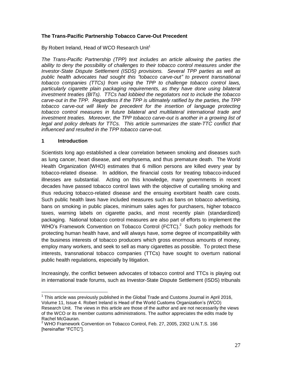# **The Trans-Pacific Partnership Tobacco Carve-Out Precedent**

By Robert Ireland, Head of WCO Research Unit<sup>1</sup>

*The Trans-Pacific Partnership (TPP) text includes an article allowing the parties the ability to deny the possibility of challenges to their tobacco control measures under the Investor-State Dispute Settlement (ISDS) provisions. Several TPP parties as well as public health advocates had sought this "tobacco carve-out" to prevent transnational tobacco companies (TTCs) from using the TPP to challenge tobacco control laws, particularly cigarette plain packaging requirements, as they have done using bilateral investment treaties (BITs). TTCs had lobbied the negotiators not to include the tobacco carve-out in the TPP. Regardless if the TPP is ultimately ratified by the parties, the TPP tobacco carve-out will likely be precedent for the insertion of language protecting tobacco control measures in future bilateral and multilateral international trade and investment treaties. Moreover, the TPP tobacco carve-out is another in a growing list of legal and policy defeats for TTCs. This article summarizes the state-TTC conflict that influenced and resulted in the TPP tobacco carve-out.*

## **1 Introduction**

Scientists long ago established a clear correlation between smoking and diseases such as lung cancer, heart disease, and emphysema, and thus premature death. The World Health Organization (WHO) estimates that 6 million persons are killed every year by tobacco-related disease. In addition, the financial costs for treating tobacco-induced illnesses are substantial. Acting on this knowledge, many governments in recent decades have passed tobacco control laws with the objective of curtailing smoking and thus reducing tobacco-related disease and the ensuing exorbitant health care costs. Such public health laws have included measures such as bans on tobacco advertising, bans on smoking in public places, minimum sales ages for purchasers, higher tobacco taxes, warning labels on cigarette packs, and most recently plain (standardized) packaging. National tobacco control measures are also part of efforts to implement the WHO's Framework Convention on Tobacco Control (FCTC).<sup>2</sup> Such policy methods for protecting human health have, and will always have, some degree of incompatibility with the business interests of tobacco producers which gross enormous amounts of money, employ many workers, and seek to sell as many cigarettes as possible. To protect these interests, transnational tobacco companies (TTCs) have sought to overturn national public health regulations, especially by litigation.

Increasingly, the conflict between advocates of tobacco control and TTCs is playing out in international trade forums, such as Investor-State Dispute Settlement (ISDS) tribunals

 $\overline{a}$  $1$  This article was previously published in the Global Trade and Customs Journal in April 2016, Volume 11, Issue 4. Robert Ireland is Head of the World Customs Organization's (WCO) Research Unit. The views in this article are those of the author and are not necessarily the views of the WCO or its member customs administrations. The author appreciates the edits made by Rachel McGauran.

<sup>2</sup> WHO Framework Convention on Tobacco Control, Feb. 27, 2005, 2302 U.N.T.S. 166 [hereinafter "FCTC"].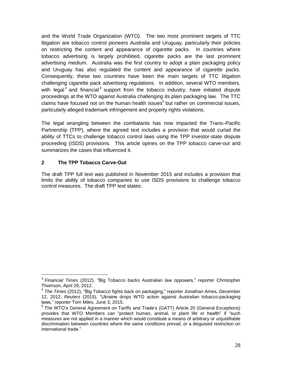and the World Trade Organization (WTO). The two most prominent targets of TTC litigation are tobacco control pioneers Australia and Uruguay, particularly their policies on restricting the content and appearance of cigarette packs. In countries where tobacco advertising is largely prohibited, cigarette packs are the last prominent advertising medium. Australia was the first country to adopt a plain packaging policy and Uruguay has also regulated the content and appearance of cigarette packs. Consequently, these two countries have been the main targets of TTC litigation challenging cigarette pack advertising regulations. In addition, several WTO members, with legal<sup>3</sup> and financial<sup>4</sup> support from the tobacco industry, have initiated dispute proceedings at the WTO against Australia challenging its plain packaging law. The TTC claims have focused not on the human health issues<sup>5</sup> but rather on commercial issues, particularly alleged trademark infringement and property rights violations.

The legal wrangling between the combatants has now impacted the Trans–Pacific Partnership (TPP), where the agreed text includes a provision that would curtail the ability of TTCs to challenge tobacco control laws using the TPP investor-state dispute proceeding (ISDS) provisions. This article opines on the TPP tobacco carve-out and summarizes the cases that influenced it.

# **2 The TPP Tobacco Carve-Out**

The draft TPP full text was published in November 2015 and includes a provision that limits the ability of tobacco companies to use ISDS provisions to challenge tobacco control measures. The draft TPP text states:

 3 *Financial Times* (2012), "Big Tobacco backs Australian law opposers," reporter Christopher Thomson, April 29, 2012.

<sup>4</sup> *The Times* (2012), "Big Tobacco fights back on packaging," reporter Jonathan Ames, December 12, 2012; *Reuters* (2015), "Ukraine drops WTO action against Australian tobacco-packaging laws," reporter Tom Miles, June 3, 2015.

<sup>&</sup>lt;sup>5</sup> The WTO's General Agreement on Tariffs and Trade's (GATT) Article 20 (General Exceptions) provides that WTO Members can "protect human, animal, or plant life or health" if "such measures are not applied in a manner which would constitute a means of arbitrary or unjustifiable discrimination between countries where the same conditions prevail, or a disguised restriction on international trade."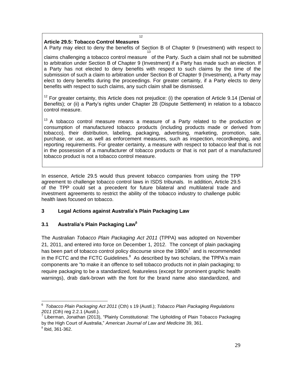# **Article 29.5: Tobacco Control Measures**

A Party may elect to deny the benefits of Section B of Chapter 9 (Investment) with respect to 13

12

claims challenging a tobacco control measure of the Party. Such a claim shall not be submitted to arbitration under Section B of Chapter 9 (Investment) if a Party has made such an election. If a Party has not elected to deny benefits with respect to such claims by the time of the submission of such a claim to arbitration under Section B of Chapter 9 (Investment), a Party may elect to deny benefits during the proceedings. For greater certainty, if a Party elects to deny benefits with respect to such claims, any such claim shall be dismissed.

 $12$  For greater certainty, this Article does not prejudice: (i) the operation of Article 9.14 (Denial of Benefits); or (ii) a Party's rights under Chapter 28 (Dispute Settlement) in relation to a tobacco control measure.

 $13$  A tobacco control measure means a measure of a Party related to the production or consumption of manufactured tobacco products (including products made or derived from tobacco), their distribution, labeling, packaging, advertising, marketing, promotion, sale, purchase, or use, as well as enforcement measures, such as inspection, recordkeeping, and reporting requirements. For greater certainty, a measure with respect to tobacco leaf that is not in the possession of a manufacturer of tobacco products or that is not part of a manufactured tobacco product is not a tobacco control measure.

In essence, Article 29.5 would thus prevent tobacco companies from using the TPP agreement to challenge tobacco control laws in ISDS tribunals. In addition, Article 29.5 of the TPP could set a precedent for future bilateral and multilateral trade and investment agreements to restrict the ability of the tobacco industry to challenge public health laws focused on tobacco.

# **3 Legal Actions against Australia's Plain Packaging Law**

# **3.1 Australia's Plain Packaging Law<sup>6</sup>**

The Australian *Tobacco Plain Packaging Act 2011* (TPPA) was adopted on November 21, 2011, and entered into force on December 1, 2012. The concept of plain packaging has been part of tobacco control policy discourse since the 1980s<sup>7</sup> and is recommended in the FCTC and the FCTC Guidelines. $^8$  As described by two scholars, the TPPA's main components are "to make it an offence to sell tobacco products not in plain packaging; to require packaging to be a standardized, featureless (except for prominent graphic health warnings), drab dark-brown with the font for the brand name also standardized, and

 $\overline{a}$ 6 *Tobacco Plain Packaging Act 2011* (Cth) s 19 (Austl.); *Tobacco Plain Packaging Regulations 2011* (Cth) reg 2.2.1 (Austl.).

 $^7$  Liberman, Jonathan (2013), "Plainly Constitutional: The Upholding of Plain Tobacco Packaging by the High Court of Australia," *American Journal of Law and Medicine* 39, 361.

 $8$  Ibid, 361-362.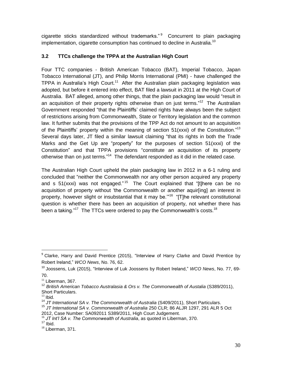cigarette sticks standardized without trademarks."<sup>9</sup> Concurrent to plain packaging implementation, cigarette consumption has continued to decline in Australia.<sup>10</sup>

# **3.2 TTCs challenge the TPPA at the Australian High Court**

Four TTC companies - British American Tobacco (BAT), Imperial Tobacco, Japan Tobacco International (JT), and Philip Morris International (PMI) - have challenged the TPPA in Australia's High Court.<sup>11</sup> After the Australian plain packaging legislation was adopted, but before it entered into effect, BAT filed a lawsuit in 2011 at the High Court of Australia. BAT alleged, among other things, that the plain packaging law would "result in an acquisition of their property rights otherwise than on just terms."<sup>12</sup> The Australian Government responded "that the Plaintiffs' claimed rights have always been the subject of restrictions arising from Commonwealth, State or Territory legislation and the common law. It further submits that the provisions of the TPP Act do not amount to an acquisition of the Plaintiffs' property within the meaning of section  $51(xxxi)$  of the Constitution."<sup>13</sup> Several days later, JT filed a similar lawsuit claiming "that its rights in both the Trade Marks and the Get Up are "property" for the purposes of section 51(xxxi) of the Constitution" and that TPPA provisions "constitute an acquisition of its property otherwise than on just terms."<sup>14</sup> The defendant responded as it did in the related case.

The Australian High Court upheld the plain packaging law in 2012 in a 6-1 ruling and concluded that "neither the Commonwealth nor any other person acquired any property and s 51(xxxi) was not engaged."<sup>15</sup> The Court explained that "[t]here can be no acquisition of property without 'the Commonwealth or another aquir[ing] an interest in property, however slight or insubstantial that it may be."<sup>16</sup> "[T]he relevant constitutional question is whether there has been an acquisition of property, not whether there has been a taking."<sup>17</sup> The TTCs were ordered to pay the Commonwealth's costs.<sup>18</sup>

 $\overline{a}$ 

 $9$  Clarke, Harry and David Prentice (2015), "Interview of Harry Clarke and David Prentice by Robert Ireland," *WCO News*, No. 76, 62.

<sup>10</sup> Joossens, Luk (2015), "Interview of Luk Joossens by Robert Ireland," *WCO News*, No. 77, 69- 70.

 $11$  Liberman, 367.

<sup>&</sup>lt;sup>12</sup> British American Tobacco Australasia & Ors v. The Commonwealth of Austalia (S389/2011), Short Particulars.

 $13$  Ibid.

<sup>14</sup> *JT International SA v. The Commonwealth of Australia* (S409/2011), Short Particulars.

<sup>15</sup> *JT International SA v. Commonwealth of Australia* 250 CLR; 86 ALJR 1297, 291 ALR 5 Oct 2012, Case Number: SA092011 S389/2011, High Court Judgement.

<sup>16</sup> *JT Int'l SA v. The Commonwealth of Australia*, as quoted in Liberman, 370.

 $17$  Ibid.

 $18$  Liberman, 371.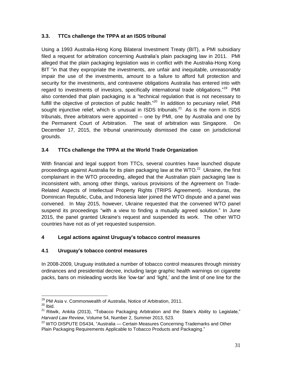# **3.3. TTCs challenge the TPPA at an ISDS tribunal**

Using a 1993 Australia-Hong Kong Bilateral Investment Treaty (BIT), a PMI subsidiary filed a request for arbitration concerning Australia's plain packaging law in 2011. PMI alleged that the plain packaging legislation was in conflict with the Australia-Hong Kong BIT "in that they expropriate the investments, are unfair and inequitable, unreasonably impair the use of the investments, amount to a failure to afford full protection and security for the investments, and contravene obligations Australia has entered into with regard to investments of investors, specifically international trade obligations."<sup>19</sup> PMI also contended that plain packaging is a "technical regulation that is not necessary to fulfill the objective of protection of public health."<sup>20</sup> In addition to pecuniary relief, PMI sought injunctive relief, which is unusual in ISDS tribunals. $^{21}$  As is the norm in ISDS tribunals, three arbitrators were appointed – one by PMI, one by Australia and one by the Permanent Court of Arbitration. The seat of arbitration was Singapore. On December 17, 2015, the tribunal unanimously dismissed the case on jurisdictional grounds.

# **3.4 TTCs challenge the TPPA at the World Trade Organization**

With financial and legal support from TTCs, several countries have launched dispute proceedings against Australia for its plain packaging law at the WTO.<sup>22</sup> Ukraine, the first complainant in the WTO proceeding, alleged that the Australian plain packaging law is inconsistent with, among other things, various provisions of the Agreement on Trade-Related Aspects of Intellectual Property Rights (TRIPS Agreement). Honduras, the Dominican Republic, Cuba, and Indonesia later joined the WTO dispute and a panel was convened. In May 2015, however, Ukraine requested that the convened WTO panel suspend its proceedings "with a view to finding a mutually agreed solution." In June 2015, the panel granted Ukraine's request and suspended its work. The other WTO countries have not as of yet requested suspension.

# **4 Legal actions against Uruguay's tobacco control measures**

# **4.1 Uruguay's tobacco control measures**

In 2008-2009, Uruguay instituted a number of tobacco control measures through ministry ordinances and presidential decree, including large graphic health warnings on cigarette packs, bans on misleading words like 'low-tar' and 'light,' and the limit of one line for the

 $\overline{a}$ <sup>19</sup> PM Asia v. Commonwealth of Australia, Notice of Arbitration, 2011.

 $20$  Ibid.

 $21$  Ritwik, Ankita (2013), "Tobacco Packaging Arbitration and the State's Ability to Legislate," *Harvard Law Review*, Volume 54, Number 2, Summer 2013, 523.

<sup>&</sup>lt;sup>22</sup> WTO DISPUTE DS434, "Australia — Certain Measures Concerning Trademarks and Other Plain Packaging Requirements Applicable to Tobacco Products and Packaging."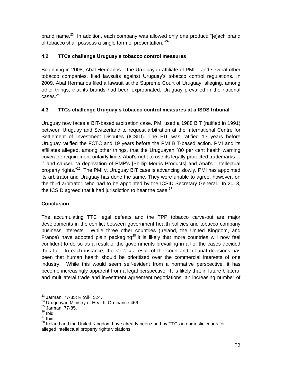brand name.<sup>23</sup> In addition, each company was allowed only one product: "[e]ach brand of tobacco shall possess a single form of presentation."<sup>24</sup>

# **4.2 TTCs challenge Uruguay's tobacco control measures**

Beginning in 2008, Abal Hermanos – the Uruguayan affiliate of PMI – and several other tobacco companies, filed lawsuits against Uruguay's tobacco control regulations. In 2009, Abal Hermanos filed a lawsuit at the Supreme Court of Uruguay, alleging, among other things, that its brands had been expropriated. Uruguay prevailed in the national  $cases.<sup>25</sup>$ 

# **4.3 TTCs challenge Uruguay's tobacco control measures at a ISDS tribunal**

Uruguay now faces a BIT-based arbitration case. PMI used a 1988 BIT (ratified in 1991) between Uruguay and Switzerland to request arbitration at the International Centre for Settlement of Investment Disputes (ICSID). The BIT was ratified 13 years before Uruguay ratified the FCTC and 19 years before the PMI BIT-based action. PMI and its affiliates alleged, among other things, that the Uruguayan "80 per cent health warning coverage requirement unfairly limits Abal's right to use its legally protected trademarks . . ." and caused "a deprivation of PMP's [Phillip Morris Products] and Abal's "intellectual property rights."<sup>26</sup> The PMI v. Uruguay BIT case is advancing slowly. PMI has appointed its arbitrator and Uruguay has done the same. They were unable to agree, however, on the third arbitrator, who had to be appointed by the ICSID Secretary General. In 2013, the ICSID agreed that it had jurisdiction to hear the case.<sup>27</sup>

# **Conclusion**

The accumulating TTC legal defeats and the TPP tobacco carve-out are major developments in the conflict between government health policies and tobacco company business interests. While three other countries (Ireland, the United Kingdom, and France) have adopted plain packaging<sup>28</sup> it is likely that more countries will now feel confident to do so as a result of the governments prevailing in all of the cases decided thus far. In each instance, the *de facto* result of the court and tribunal decisions has been that human health should be prioritized over the commercial interests of one industry. While this would seem self-evident from a normative perspective, it has become increasingly apparent from a legal perspective. It is likely that in future bilateral and multilateral trade and investment agreement negotiations, an increasing number of

 $\overline{a}$ 

 $^{23}$  Jarman, 77-85; Ritwik, 524.

<sup>&</sup>lt;sup>24</sup> Uruguayan Ministry of Health, Ordinance 466.

 $25$  Jarman, 77-85.

 $26$  Ibid.

 $27$  Ibid.

<sup>28</sup> Ireland and the United Kingdom have already been sued by TTCs in domestic courts for alleged intellectual property rights violations.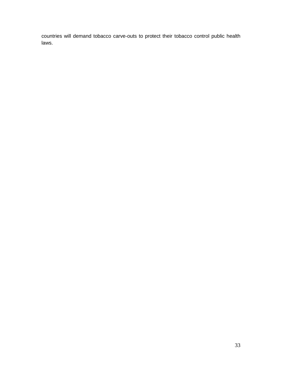countries will demand tobacco carve-outs to protect their tobacco control public health laws.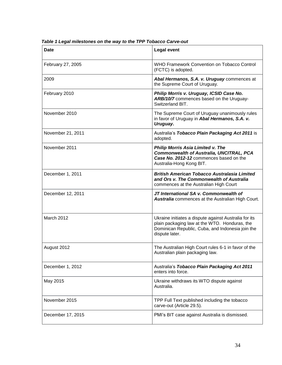| <b>Date</b>       | <b>Legal event</b>                                                                                                                                                           |
|-------------------|------------------------------------------------------------------------------------------------------------------------------------------------------------------------------|
| February 27, 2005 | WHO Framework Convention on Tobacco Control<br>(FCTC) is adopted.                                                                                                            |
| 2009              | Abal Hermanos, S.A. v. Uruguay commences at<br>the Supreme Court of Uruguay.                                                                                                 |
| February 2010     | Philip Morris v. Uruguay, ICSID Case No.<br>ARB/10/7 commences based on the Uruguay-<br>Switzerland BIT.                                                                     |
| November 2010     | The Supreme Court of Uruguay unanimously rules<br>in favor of Uruguay in Abal Hermanos, S.A. v.<br>Uruguay.                                                                  |
| November 21, 2011 | Australia's Tobacco Plain Packaging Act 2011 is<br>adopted.                                                                                                                  |
| November 2011     | <b>Philip Morris Asia Limited v. The</b><br><b>Commonwealth of Australia, UNCITRAL, PCA</b><br>Case No. 2012-12 commences based on the<br>Australia-Hong Kong BIT.           |
| December 1, 2011  | <b>British American Tobacco Australasia Limited</b><br>and Ors v. The Commonwealth of Australia<br>commences at the Australian High Court                                    |
| December 12, 2011 | JT International SA v. Commonwealth of<br>Australia commences at the Australian High Court.                                                                                  |
| March 2012        | Ukraine initiates a dispute against Australia for its<br>plain packaging law at the WTO. Honduras, the<br>Dominican Republic, Cuba, and Indonesia join the<br>dispute later. |
| August 2012       | The Australian High Court rules 6-1 in favor of the<br>Australian plain packaging law.                                                                                       |
| December 1, 2012  | Australia's Tobacco Plain Packaging Act 2011<br>enters into force.                                                                                                           |
| May 2015          | Ukraine withdraws its WTO dispute against<br>Australia.                                                                                                                      |
| November 2015     | TPP Full Text published including the tobacco<br>carve-out (Article 29.5).                                                                                                   |
| December 17, 2015 | PMI's BIT case against Australia is dismissed.                                                                                                                               |

*Table 1 Legal milestones on the way to the TPP Tobacco Carve-out*